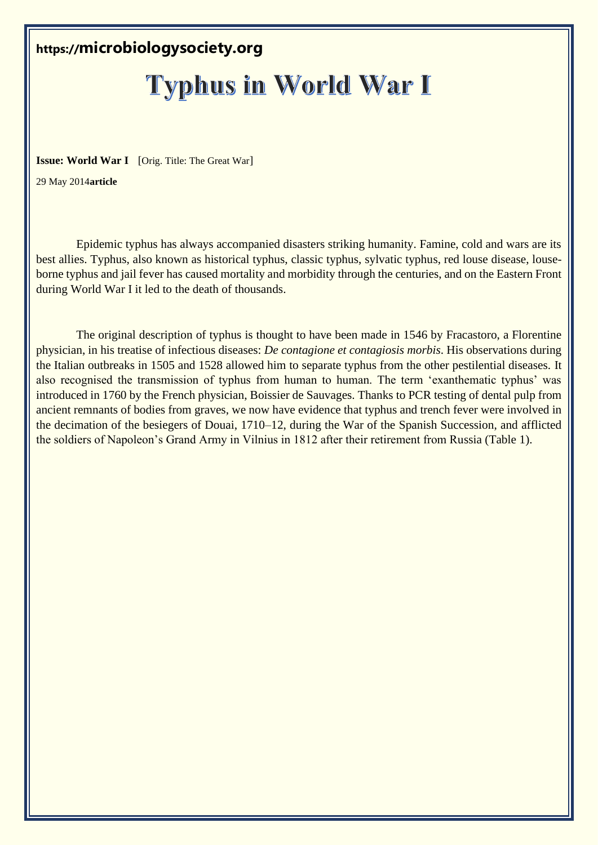# **https://microbiologysociety.org**

# **Typhus in World War I**

**Issue: World War I** [Orig. Title: The Great War]

29 May 2014**article**

Epidemic typhus has always accompanied disasters striking humanity. Famine, cold and wars are its best allies. Typhus, also known as historical typhus, classic typhus, sylvatic typhus, red louse disease, louseborne typhus and jail fever has caused mortality and morbidity through the centuries, and on the Eastern Front during World War I it led to the death of thousands.

The original description of typhus is thought to have been made in 1546 by Fracastoro, a Florentine physician, in his treatise of infectious diseases: *De contagione et contagiosis morbis*. His observations during the Italian outbreaks in 1505 and 1528 allowed him to separate typhus from the other pestilential diseases. It also recognised the transmission of typhus from human to human. The term 'exanthematic typhus' was introduced in 1760 by the French physician, Boissier de Sauvages. Thanks to PCR testing of dental pulp from ancient remnants of bodies from graves, we now have evidence that typhus and trench fever were involved in the decimation of the besiegers of Douai, 1710–12, during the War of the Spanish Succession, and afflicted the soldiers of Napoleon's Grand Army in Vilnius in 1812 after their retirement from Russia (Table 1).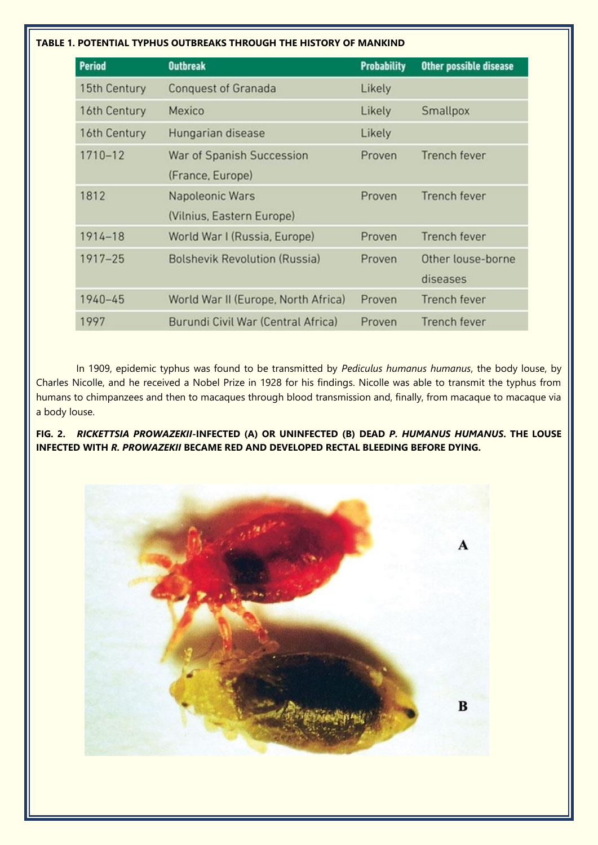# **TABLE 1. POTENTIAL TYPHUS OUTBREAKS THROUGH THE HISTORY OF MANKIND**

| <b>Period</b> | <b>Outbreak</b>                      | <b>Probability</b> | Other possible disease |
|---------------|--------------------------------------|--------------------|------------------------|
| 15th Century  | <b>Conquest of Granada</b>           | Likely             |                        |
| 16th Century  | Mexico                               | Likely             | Smallpox               |
| 16th Century  | Hungarian disease                    | Likely             |                        |
| 1710-12       | War of Spanish Succession            | Proven             | <b>Trench fever</b>    |
|               | (France, Europe)                     |                    |                        |
| 1812          | Napoleonic Wars                      | Proven             | <b>Trench fever</b>    |
|               | (Vilnius, Eastern Europe)            |                    |                        |
| 1914-18       | World War I (Russia, Europe)         | Proven             | <b>Trench fever</b>    |
| $1917 - 25$   | <b>Bolshevik Revolution (Russia)</b> | Proven             | Other louse-borne      |
|               |                                      |                    | diseases               |
| $1940 - 45$   | World War II (Europe, North Africa)  | Proven             | Trench fever           |
| 1997          | Burundi Civil War (Central Africa)   | Proven             | Trench fever           |

In 1909, epidemic typhus was found to be transmitted by *Pediculus humanus humanus*, the body louse, by Charles Nicolle, and he received a Nobel Prize in 1928 for his findings. Nicolle was able to transmit the typhus from humans to chimpanzees and then to macaques through blood transmission and, finally, from macaque to macaque via a body louse.

**FIG. 2.** *RICKETTSIA PROWAZEKII***-INFECTED (A) OR UNINFECTED (B) DEAD** *P. HUMANUS HUMANUS***. THE LOUSE INFECTED WITH** *R. PROWAZEKII* **BECAME RED AND DEVELOPED RECTAL BLEEDING BEFORE DYING.**

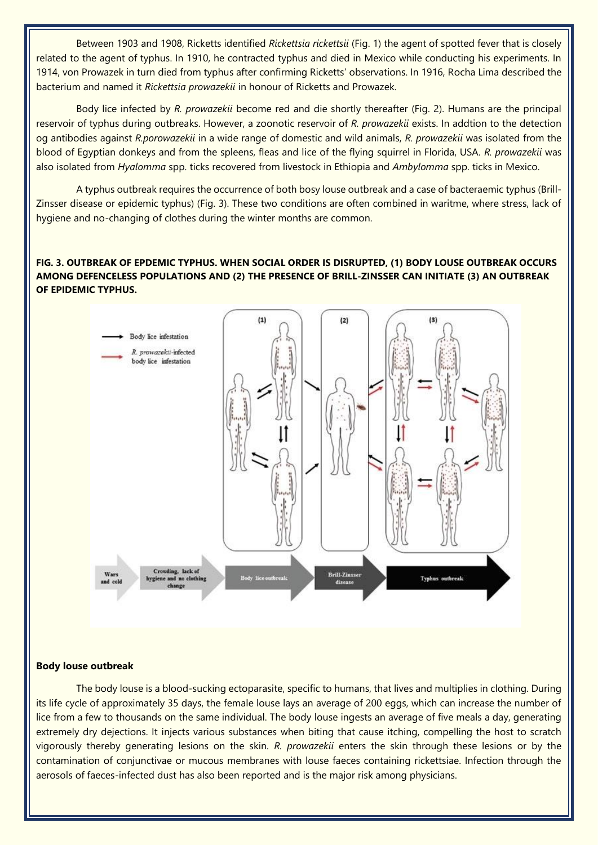Between 1903 and 1908, Ricketts identified *Rickettsia rickettsii* (Fig. 1) the agent of spotted fever that is closely related to the agent of typhus. In 1910, he contracted typhus and died in Mexico while conducting his experiments. In 1914, von Prowazek in turn died from typhus after confirming Ricketts' observations. In 1916, Rocha Lima described the bacterium and named it *Rickettsia prowazekii* in honour of Ricketts and Prowazek.

Body lice infected by *R. prowazekii* become red and die shortly thereafter (Fig. 2). Humans are the principal reservoir of typhus during outbreaks. However, a zoonotic reservoir of *R. prowazekii* exists. In addtion to the detection og antibodies against *R.porowazekii* in a wide range of domestic and wild animals, *R. prowazekii* was isolated from the blood of Egyptian donkeys and from the spleens, fleas and lice of the flying squirrel in Florida, USA. *R. prowazekii* was also isolated from *Hyalomma* spp. ticks recovered from livestock in Ethiopia and *Ambylomma* spp. ticks in Mexico.

A typhus outbreak requires the occurrence of both bosy louse outbreak and a case of bacteraemic typhus (Brill-Zinsser disease or epidemic typhus) (Fig. 3). These two conditions are often combined in waritme, where stress, lack of hygiene and no-changing of clothes during the winter months are common.

# **FIG. 3. OUTBREAK OF EPDEMIC TYPHUS. WHEN SOCIAL ORDER IS DISRUPTED, (1) BODY LOUSE OUTBREAK OCCURS AMONG DEFENCELESS POPULATIONS AND (2) THE PRESENCE OF BRILL-ZINSSER CAN INITIATE (3) AN OUTBREAK OF EPIDEMIC TYPHUS.**



## **Body louse outbreak**

The body louse is a blood-sucking ectoparasite, specific to humans, that lives and multiplies in clothing. During its life cycle of approximately 35 days, the female louse lays an average of 200 eggs, which can increase the number of lice from a few to thousands on the same individual. The body louse ingests an average of five meals a day, generating extremely dry dejections. It injects various substances when biting that cause itching, compelling the host to scratch vigorously thereby generating lesions on the skin. *R. prowazekii* enters the skin through these lesions or by the contamination of conjunctivae or mucous membranes with louse faeces containing rickettsiae. Infection through the aerosols of faeces-infected dust has also been reported and is the major risk among physicians.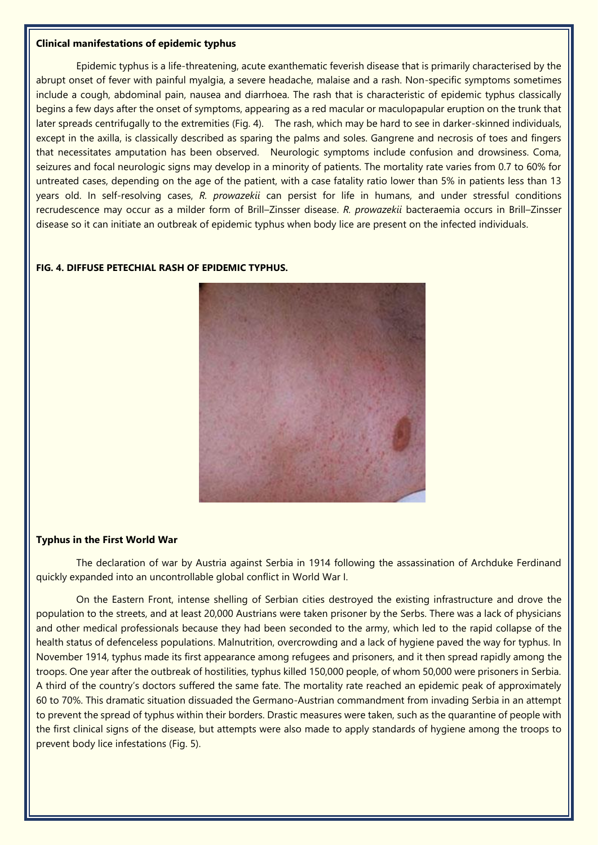#### **Clinical manifestations of epidemic typhus**

Epidemic typhus is a life-threatening, acute exanthematic feverish disease that is primarily characterised by the abrupt onset of fever with painful myalgia, a severe headache, malaise and a rash. Non-specific symptoms sometimes include a cough, abdominal pain, nausea and diarrhoea. The rash that is characteristic of epidemic typhus classically begins a few days after the onset of symptoms, appearing as a red macular or maculopapular eruption on the trunk that later spreads centrifugally to the extremities (Fig. 4). The rash, which may be hard to see in darker-skinned individuals, except in the axilla, is classically described as sparing the palms and soles. Gangrene and necrosis of toes and fingers that necessitates amputation has been observed. Neurologic symptoms include confusion and drowsiness. Coma, seizures and focal neurologic signs may develop in a minority of patients. The mortality rate varies from 0.7 to 60% for untreated cases, depending on the age of the patient, with a case fatality ratio lower than 5% in patients less than 13 years old. In self-resolving cases, *R. prowazekii* can persist for life in humans, and under stressful conditions recrudescence may occur as a milder form of Brill–Zinsser disease. *R. prowazekii* bacteraemia occurs in Brill–Zinsser disease so it can initiate an outbreak of epidemic typhus when body lice are present on the infected individuals.

#### **FIG. 4. DIFFUSE PETECHIAL RASH OF EPIDEMIC TYPHUS.**



#### **Typhus in the First World War**

The declaration of war by Austria against Serbia in 1914 following the assassination of Archduke Ferdinand quickly expanded into an uncontrollable global conflict in World War I.

On the Eastern Front, intense shelling of Serbian cities destroyed the existing infrastructure and drove the population to the streets, and at least 20,000 Austrians were taken prisoner by the Serbs. There was a lack of physicians and other medical professionals because they had been seconded to the army, which led to the rapid collapse of the health status of defenceless populations. Malnutrition, overcrowding and a lack of hygiene paved the way for typhus. In November 1914, typhus made its first appearance among refugees and prisoners, and it then spread rapidly among the troops. One year after the outbreak of hostilities, typhus killed 150,000 people, of whom 50,000 were prisoners in Serbia. A third of the country's doctors suffered the same fate. The mortality rate reached an epidemic peak of approximately 60 to 70%. This dramatic situation dissuaded the Germano-Austrian commandment from invading Serbia in an attempt to prevent the spread of typhus within their borders. Drastic measures were taken, such as the quarantine of people with the first clinical signs of the disease, but attempts were also made to apply standards of hygiene among the troops to prevent body lice infestations (Fig. 5).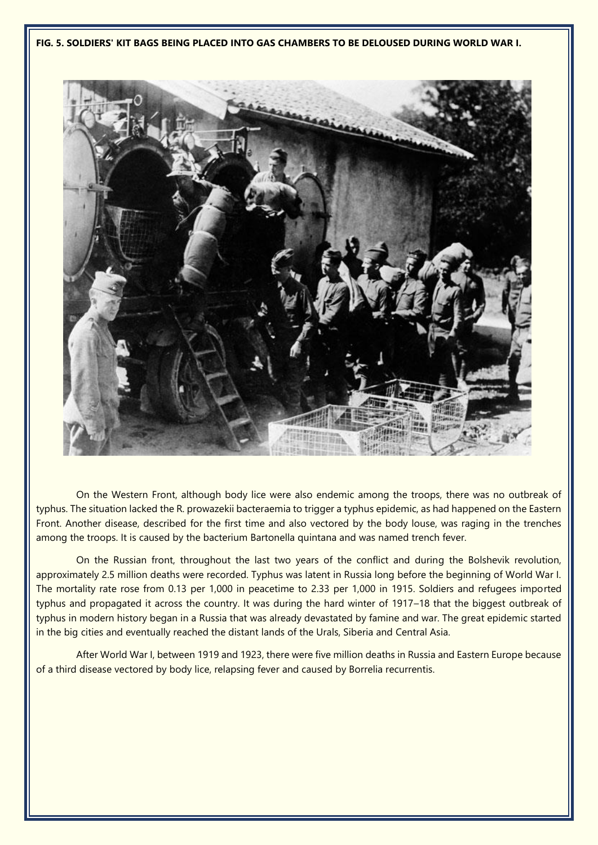**FIG. 5. SOLDIERS' KIT BAGS BEING PLACED INTO GAS CHAMBERS TO BE DELOUSED DURING WORLD WAR I.**



On the Western Front, although body lice were also endemic among the troops, there was no outbreak of typhus. The situation lacked the R. prowazekii bacteraemia to trigger a typhus epidemic, as had happened on the Eastern Front. Another disease, described for the first time and also vectored by the body louse, was raging in the trenches among the troops. It is caused by the bacterium Bartonella quintana and was named trench fever.

On the Russian front, throughout the last two years of the conflict and during the Bolshevik revolution, approximately 2.5 million deaths were recorded. Typhus was latent in Russia long before the beginning of World War I. The mortality rate rose from 0.13 per 1,000 in peacetime to 2.33 per 1,000 in 1915. Soldiers and refugees imported typhus and propagated it across the country. It was during the hard winter of 1917–18 that the biggest outbreak of typhus in modern history began in a Russia that was already devastated by famine and war. The great epidemic started in the big cities and eventually reached the distant lands of the Urals, Siberia and Central Asia.

After World War I, between 1919 and 1923, there were five million deaths in Russia and Eastern Europe because of a third disease vectored by body lice, relapsing fever and caused by Borrelia recurrentis.